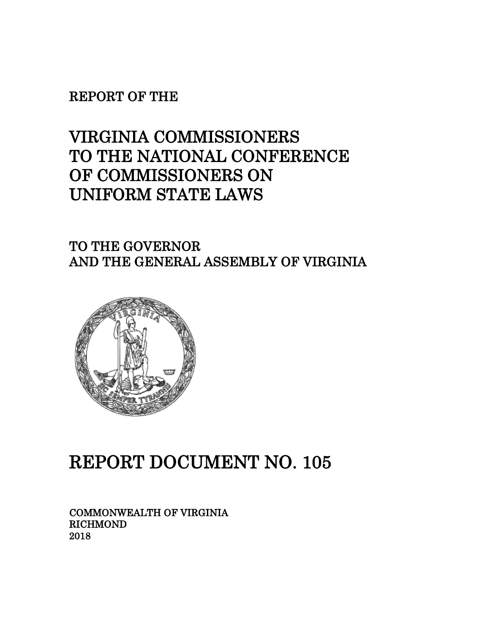REPORT OF THE

# VIRGINIA COMMISSIONERS TO THE NATIONAL CONFERENCE OF COMMISSIONERS ON UNIFORM STATE LAWS

TO THE GOVERNOR AND THE GENERAL ASSEMBLY OF VIRGINIA



# REPORT DOCUMENT NO. 105

COMMONWEALTH OF VIRGINIA RICHMOND 2018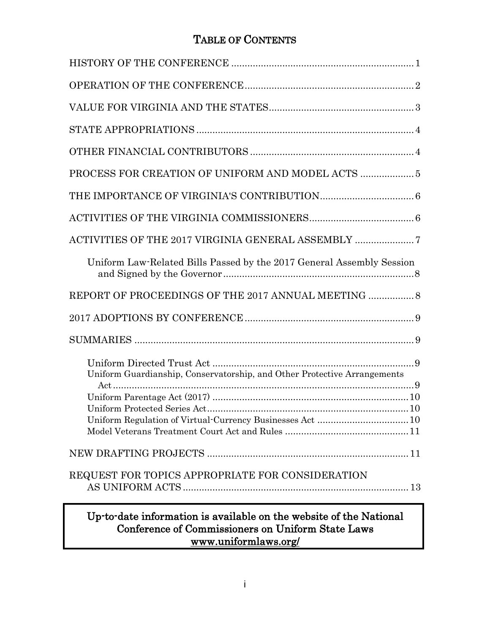## TABLE OF CONTENTS

| Uniform Law-Related Bills Passed by the 2017 General Assembly Session    |
|--------------------------------------------------------------------------|
|                                                                          |
|                                                                          |
|                                                                          |
| Uniform Guardianship, Conservatorship, and Other Protective Arrangements |
| $Act$                                                                    |
|                                                                          |
|                                                                          |
| REQUEST FOR TOPICS APPROPRIATE FOR CONSIDERATION                         |
| Up-to-date information is available on the website of the National       |

Conference of Commissioners on Uniform State Laws www.uniformlaws.org/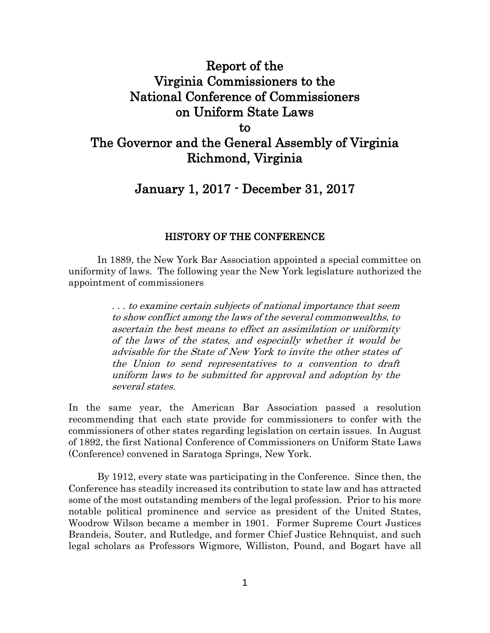## Report of the Virginia Commissioners to the National Conference of Commissioners on Uniform State Laws to The Governor and the General Assembly of Virginia

## Richmond, Virginia

## January 1, 2017 - December 31, 2017

## HISTORY OF THE CONFERENCE

In 1889, the New York Bar Association appointed a special committee on uniformity of laws. The following year the New York legislature authorized the appointment of commissioners

> . . . to examine certain subjects of national importance that seem to show conflict among the laws of the several commonwealths, to ascertain the best means to effect an assimilation or uniformity of the laws of the states, and especially whether it would be advisable for the State of New York to invite the other states of the Union to send representatives to a convention to draft uniform laws to be submitted for approval and adoption by the several states.

In the same year, the American Bar Association passed a resolution recommending that each state provide for commissioners to confer with the commissioners of other states regarding legislation on certain issues. In August of 1892, the first National Conference of Commissioners on Uniform State Laws (Conference) convened in Saratoga Springs, New York.

By 1912, every state was participating in the Conference. Since then, the Conference has steadily increased its contribution to state law and has attracted some of the most outstanding members of the legal profession. Prior to his more notable political prominence and service as president of the United States, Woodrow Wilson became a member in 1901. Former Supreme Court Justices Brandeis, Souter, and Rutledge, and former Chief Justice Rehnquist, and such legal scholars as Professors Wigmore, Williston, Pound, and Bogart have all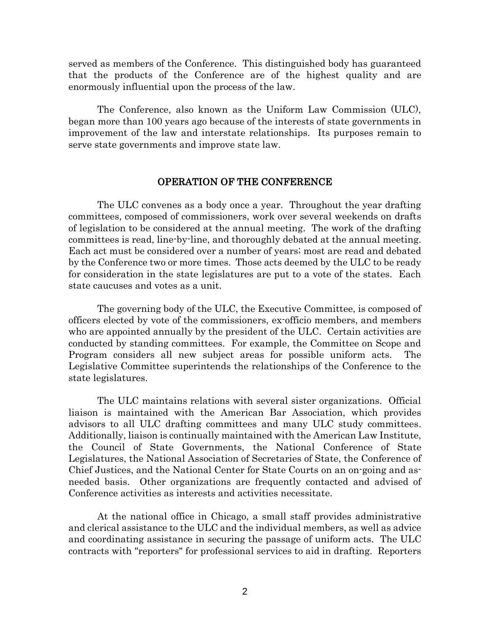served as members of the Conference. This distinguished body has guaranteed that the products of the Conference are of the highest quality and are enormously influential upon the process of the law.

The Conference, also known as the Uniform Law Commission (ULC), began more than 100 years ago because of the interests of state governments in improvement of the law and interstate relationships. Its purposes remain to serve state governments and improve state law.

## OPERATION OF THE CONFERENCE

The ULC convenes as a body once a year. Throughout the year drafting committees, composed of commissioners, work over several weekends on drafts of legislation to be considered at the annual meeting. The work of the drafting committees is read, line-by-line, and thoroughly debated at the annual meeting. Each act must be considered over a number of years; most are read and debated by the Conference two or more times. Those acts deemed by the ULC to be ready for consideration in the state legislatures are put to a vote of the states. Each state caucuses and votes as a unit.

The governing body of the ULC, the Executive Committee, is composed of officers elected by vote of the commissioners, ex-officio members, and members who are appointed annually by the president of the ULC. Certain activities are conducted by standing committees. For example, the Committee on Scope and Program considers all new subject areas for possible uniform acts. The Legislative Committee superintends the relationships of the Conference to the state legislatures.

The ULC maintains relations with several sister organizations. Official liaison is maintained with the American Bar Association, which provides advisors to all ULC drafting committees and many ULC study committees. Additionally, liaison is continually maintained with the American Law Institute, the Council of State Governments, the National Conference of State Legislatures, the National Association of Secretaries of State, the Conference of Chief Justices, and the National Center for State Courts on an on-going and asneeded basis. Other organizations are frequently contacted and advised of Conference activities as interests and activities necessitate.

At the national office in Chicago, a small staff provides administrative and clerical assistance to the ULC and the individual members, as well as advice and coordinating assistance in securing the passage of uniform acts. The ULC contracts with "reporters" for professional services to aid in drafting. Reporters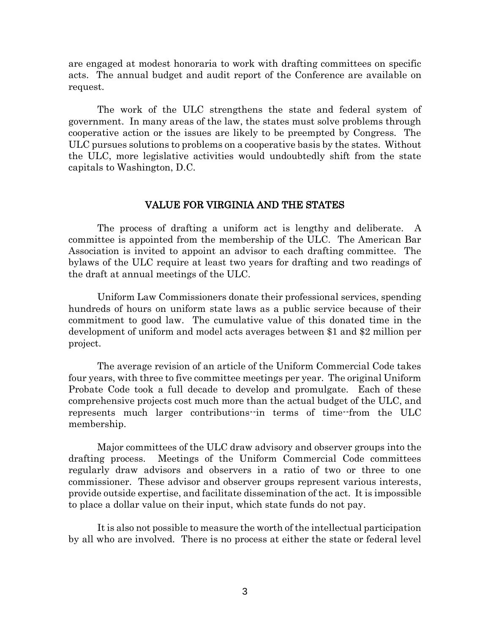are engaged at modest honoraria to work with drafting committees on specific acts. The annual budget and audit report of the Conference are available on request.

The work of the ULC strengthens the state and federal system of government. In many areas of the law, the states must solve problems through cooperative action or the issues are likely to be preempted by Congress. The ULC pursues solutions to problems on a cooperative basis by the states. Without the ULC, more legislative activities would undoubtedly shift from the state capitals to Washington, D.C.

### VALUE FOR VIRGINIA AND THE STATES

The process of drafting a uniform act is lengthy and deliberate. A committee is appointed from the membership of the ULC. The American Bar Association is invited to appoint an advisor to each drafting committee. The bylaws of the ULC require at least two years for drafting and two readings of the draft at annual meetings of the ULC.

Uniform Law Commissioners donate their professional services, spending hundreds of hours on uniform state laws as a public service because of their commitment to good law. The cumulative value of this donated time in the development of uniform and model acts averages between \$1 and \$2 million per project.

The average revision of an article of the Uniform Commercial Code takes four years, with three to five committee meetings per year. The original Uniform Probate Code took a full decade to develop and promulgate. Each of these comprehensive projects cost much more than the actual budget of the ULC, and represents much larger contributions--in terms of time--from the ULC membership.

Major committees of the ULC draw advisory and observer groups into the drafting process. Meetings of the Uniform Commercial Code committees regularly draw advisors and observers in a ratio of two or three to one commissioner. These advisor and observer groups represent various interests, provide outside expertise, and facilitate dissemination of the act. It is impossible to place a dollar value on their input, which state funds do not pay.

It is also not possible to measure the worth of the intellectual participation by all who are involved. There is no process at either the state or federal level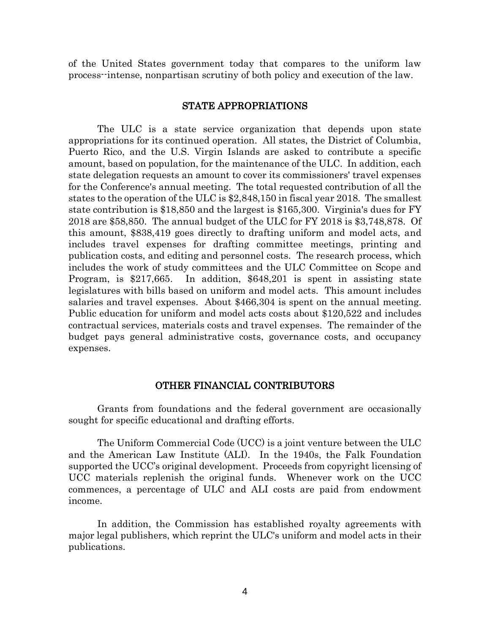of the United States government today that compares to the uniform law process--intense, nonpartisan scrutiny of both policy and execution of the law.

## STATE APPROPRIATIONS

The ULC is a state service organization that depends upon state appropriations for its continued operation. All states, the District of Columbia, Puerto Rico, and the U.S. Virgin Islands are asked to contribute a specific amount, based on population, for the maintenance of the ULC. In addition, each state delegation requests an amount to cover its commissioners' travel expenses for the Conference's annual meeting. The total requested contribution of all the states to the operation of the ULC is \$2,848,150 in fiscal year 2018. The smallest state contribution is \$18,850 and the largest is \$165,300. Virginia's dues for FY 2018 are \$58,850. The annual budget of the ULC for FY 2018 is \$3,748,878. Of this amount, \$838,419 goes directly to drafting uniform and model acts, and includes travel expenses for drafting committee meetings, printing and publication costs, and editing and personnel costs. The research process, which includes the work of study committees and the ULC Committee on Scope and Program, is \$217,665. In addition, \$648,201 is spent in assisting state legislatures with bills based on uniform and model acts. This amount includes salaries and travel expenses. About \$466,304 is spent on the annual meeting. Public education for uniform and model acts costs about \$120,522 and includes contractual services, materials costs and travel expenses. The remainder of the budget pays general administrative costs, governance costs, and occupancy expenses.

#### OTHER FINANCIAL CONTRIBUTORS

Grants from foundations and the federal government are occasionally sought for specific educational and drafting efforts.

The Uniform Commercial Code (UCC) is a joint venture between the ULC and the American Law Institute (ALI). In the 1940s, the Falk Foundation supported the UCC's original development. Proceeds from copyright licensing of UCC materials replenish the original funds. Whenever work on the UCC commences, a percentage of ULC and ALI costs are paid from endowment income.

In addition, the Commission has established royalty agreements with major legal publishers, which reprint the ULC's uniform and model acts in their publications.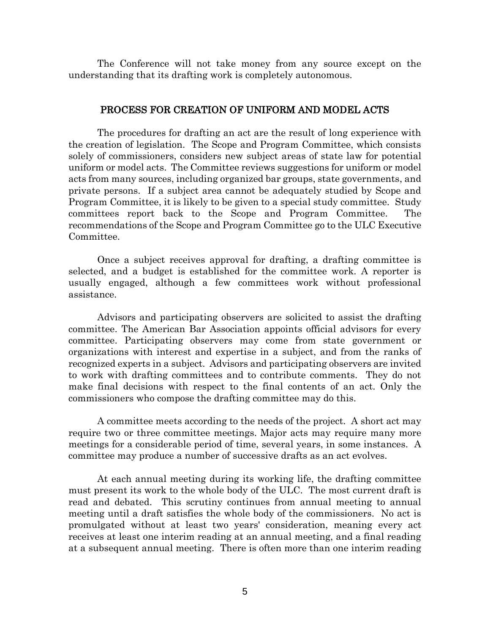The Conference will not take money from any source except on the understanding that its drafting work is completely autonomous.

## PROCESS FOR CREATION OF UNIFORM AND MODEL ACTS

The procedures for drafting an act are the result of long experience with the creation of legislation. The Scope and Program Committee, which consists solely of commissioners, considers new subject areas of state law for potential uniform or model acts. The Committee reviews suggestions for uniform or model acts from many sources, including organized bar groups, state governments, and private persons. If a subject area cannot be adequately studied by Scope and Program Committee, it is likely to be given to a special study committee. Study committees report back to the Scope and Program Committee. The recommendations of the Scope and Program Committee go to the ULC Executive Committee.

Once a subject receives approval for drafting, a drafting committee is selected, and a budget is established for the committee work. A reporter is usually engaged, although a few committees work without professional assistance.

Advisors and participating observers are solicited to assist the drafting committee. The American Bar Association appoints official advisors for every committee. Participating observers may come from state government or organizations with interest and expertise in a subject, and from the ranks of recognized experts in a subject. Advisors and participating observers are invited to work with drafting committees and to contribute comments. They do not make final decisions with respect to the final contents of an act. Only the commissioners who compose the drafting committee may do this.

A committee meets according to the needs of the project. A short act may require two or three committee meetings. Major acts may require many more meetings for a considerable period of time, several years, in some instances. A committee may produce a number of successive drafts as an act evolves.

At each annual meeting during its working life, the drafting committee must present its work to the whole body of the ULC. The most current draft is read and debated. This scrutiny continues from annual meeting to annual meeting until a draft satisfies the whole body of the commissioners. No act is promulgated without at least two years' consideration, meaning every act receives at least one interim reading at an annual meeting, and a final reading at a subsequent annual meeting. There is often more than one interim reading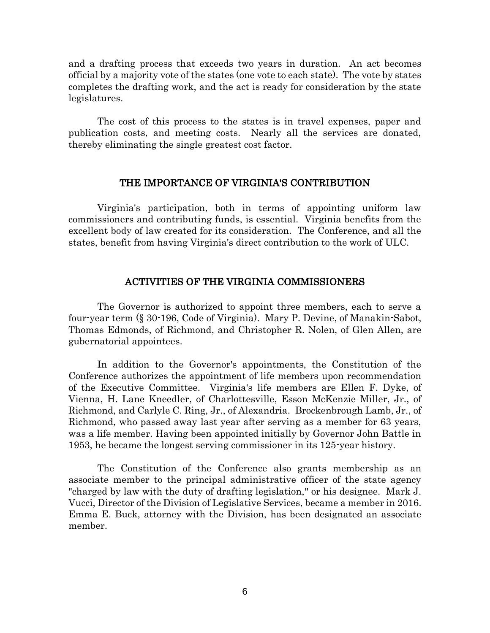and a drafting process that exceeds two years in duration. An act becomes official by a majority vote of the states (one vote to each state). The vote by states completes the drafting work, and the act is ready for consideration by the state legislatures.

The cost of this process to the states is in travel expenses, paper and publication costs, and meeting costs. Nearly all the services are donated, thereby eliminating the single greatest cost factor.

### THE IMPORTANCE OF VIRGINIA'S CONTRIBUTION

Virginia's participation, both in terms of appointing uniform law commissioners and contributing funds, is essential. Virginia benefits from the excellent body of law created for its consideration. The Conference, and all the states, benefit from having Virginia's direct contribution to the work of ULC.

## ACTIVITIES OF THE VIRGINIA COMMISSIONERS

The Governor is authorized to appoint three members, each to serve a four-year term (§ 30-196, Code of Virginia). Mary P. Devine, of Manakin-Sabot, Thomas Edmonds, of Richmond, and Christopher R. Nolen, of Glen Allen, are gubernatorial appointees.

In addition to the Governor's appointments, the Constitution of the Conference authorizes the appointment of life members upon recommendation of the Executive Committee. Virginia's life members are Ellen F. Dyke, of Vienna, H. Lane Kneedler, of Charlottesville, Esson McKenzie Miller, Jr., of Richmond, and Carlyle C. Ring, Jr., of Alexandria. Brockenbrough Lamb, Jr., of Richmond, who passed away last year after serving as a member for 63 years, was a life member. Having been appointed initially by Governor John Battle in 1953, he became the longest serving commissioner in its 125-year history.

The Constitution of the Conference also grants membership as an associate member to the principal administrative officer of the state agency "charged by law with the duty of drafting legislation," or his designee. Mark J. Vucci, Director of the Division of Legislative Services, became a member in 2016. Emma E. Buck, attorney with the Division, has been designated an associate member.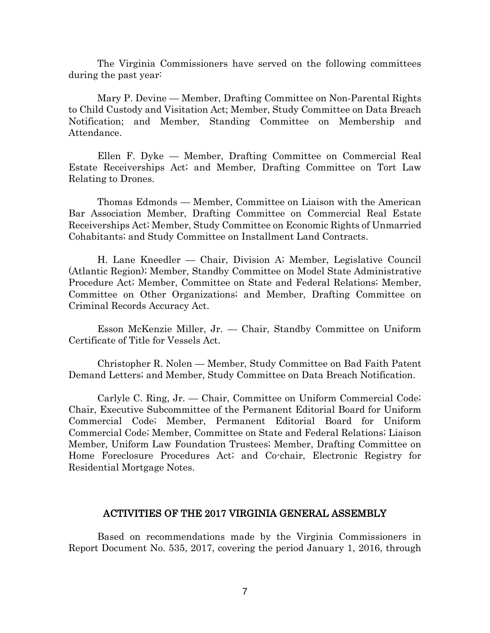The Virginia Commissioners have served on the following committees during the past year:

Mary P. Devine — Member, Drafting Committee on Non-Parental Rights to Child Custody and Visitation Act; Member, Study Committee on Data Breach Notification; and Member, Standing Committee on Membership and Attendance.

Ellen F. Dyke — Member, Drafting Committee on Commercial Real Estate Receiverships Act; and Member, Drafting Committee on Tort Law Relating to Drones.

Thomas Edmonds — Member, Committee on Liaison with the American Bar Association Member, Drafting Committee on Commercial Real Estate Receiverships Act; Member, Study Committee on Economic Rights of Unmarried Cohabitants; and Study Committee on Installment Land Contracts.

H. Lane Kneedler — Chair, Division A; Member, Legislative Council (Atlantic Region); Member, Standby Committee on Model State Administrative Procedure Act; Member, Committee on State and Federal Relations; Member, Committee on Other Organizations; and Member, Drafting Committee on Criminal Records Accuracy Act.

Esson McKenzie Miller, Jr. — Chair, Standby Committee on Uniform Certificate of Title for Vessels Act.

Christopher R. Nolen — Member, Study Committee on Bad Faith Patent Demand Letters; and Member, Study Committee on Data Breach Notification.

Carlyle C. Ring, Jr. — Chair, Committee on Uniform Commercial Code; Chair, Executive Subcommittee of the Permanent Editorial Board for Uniform Commercial Code; Member, Permanent Editorial Board for Uniform Commercial Code; Member, Committee on State and Federal Relations; Liaison Member, Uniform Law Foundation Trustees; Member, Drafting Committee on Home Foreclosure Procedures Act; and Co-chair, Electronic Registry for Residential Mortgage Notes.

### ACTIVITIES OF THE 2017 VIRGINIA GENERAL ASSEMBLY

Based on recommendations made by the Virginia Commissioners in Report Document No. 535, 2017, covering the period January 1, 2016, through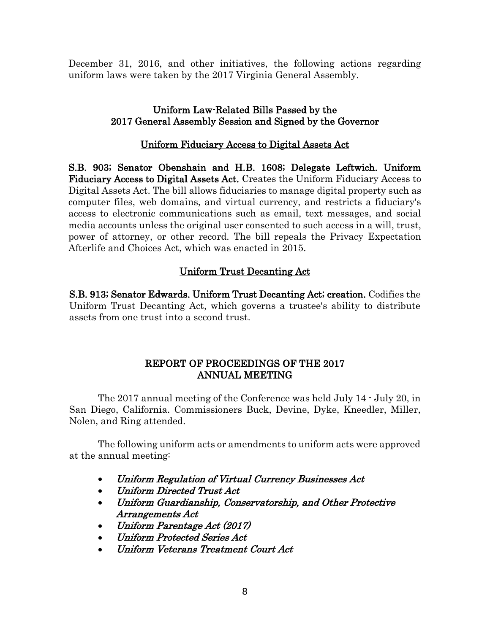December 31, 2016, and other initiatives, the following actions regarding uniform laws were taken by the 2017 Virginia General Assembly.

## Uniform Law-Related Bills Passed by the 2017 General Assembly Session and Signed by the Governor

## Uniform Fiduciary Access to Digital Assets Act

S.B. 903; Senator Obenshain and H.B. 1608; Delegate Leftwich. Uniform Fiduciary Access to Digital Assets Act. Creates the Uniform Fiduciary Access to Digital Assets Act. The bill allows fiduciaries to manage digital property such as computer files, web domains, and virtual currency, and restricts a fiduciary's access to electronic communications such as email, text messages, and social media accounts unless the original user consented to such access in a will, trust, power of attorney, or other record. The bill repeals the Privacy Expectation Afterlife and Choices Act, which was enacted in 2015.

## Uniform Trust Decanting Act

S.B. 913; Senator Edwards. Uniform Trust Decanting Act; creation. Codifies the Uniform Trust Decanting Act, which governs a trustee's ability to distribute assets from one trust into a second trust.

## REPORT OF PROCEEDINGS OF THE 2017 ANNUAL MEETING

The 2017 annual meeting of the Conference was held July 14 - July 20, in San Diego, California. Commissioners Buck, Devine, Dyke, Kneedler, Miller, Nolen, and Ring attended.

The following uniform acts or amendments to uniform acts were approved at the annual meeting:

- Uniform Regulation of Virtual Currency Businesses Act
- Uniform Directed Trust Act
- Uniform Guardianship, Conservatorship, and Other Protective Arrangements Act
- Uniform Parentage Act (2017)
- Uniform Protected Series Act
- Uniform Veterans Treatment Court Act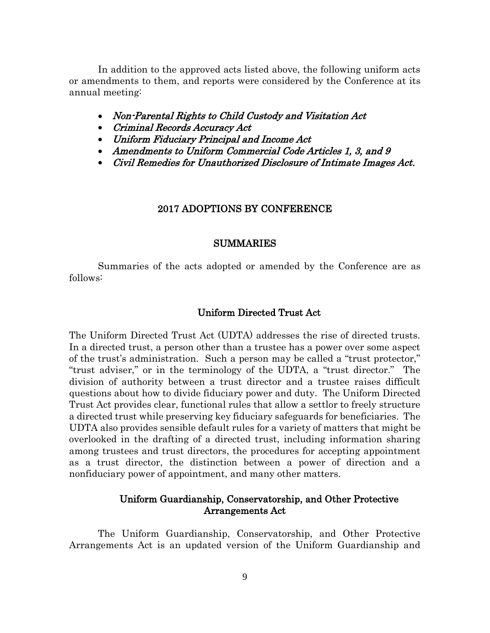In addition to the approved acts listed above, the following uniform acts or amendments to them, and reports were considered by the Conference at its annual meeting:

- Non-Parental Rights to Child Custody and Visitation Act
- Criminal Records Accuracy Act
- Uniform Fiduciary Principal and Income Act
- Amendments to Uniform Commercial Code Articles 1, 3, and 9
- Civil Remedies for Unauthorized Disclosure of Intimate Images Act.

#### 2017 ADOPTIONS BY CONFERENCE

#### SUMMARIES

Summaries of the acts adopted or amended by the Conference are as follows:

## Uniform Directed Trust Act

The Uniform Directed Trust Act (UDTA) addresses the rise of directed trusts. In a directed trust, a person other than a trustee has a power over some aspect of the trust's administration. Such a person may be called a "trust protector," "trust adviser," or in the terminology of the UDTA, a "trust director." The division of authority between a trust director and a trustee raises difficult questions about how to divide fiduciary power and duty. The Uniform Directed Trust Act provides clear, functional rules that allow a settlor to freely structure a directed trust while preserving key fiduciary safeguards for beneficiaries. The UDTA also provides sensible default rules for a variety of matters that might be overlooked in the drafting of a directed trust, including information sharing among trustees and trust directors, the procedures for accepting appointment as a trust director, the distinction between a power of direction and a nonfiduciary power of appointment, and many other matters.

## Uniform Guardianship, Conservatorship, and Other Protective Arrangements Act

The Uniform Guardianship, Conservatorship, and Other Protective Arrangements Act is an updated version of the Uniform Guardianship and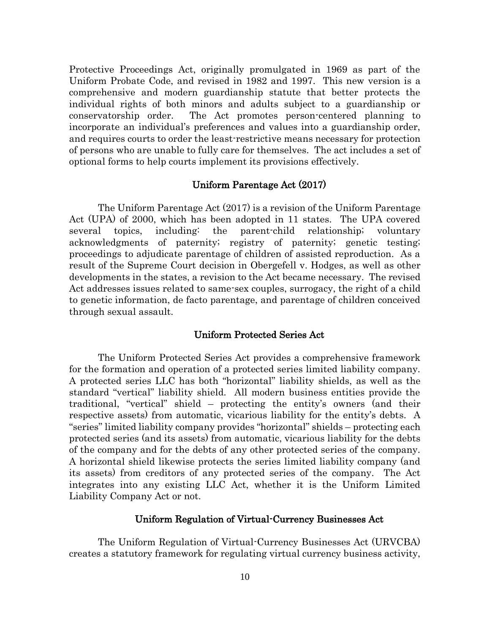Protective Proceedings Act, originally promulgated in 1969 as part of the Uniform Probate Code, and revised in 1982 and 1997. This new version is a comprehensive and modern guardianship statute that better protects the individual rights of both minors and adults subject to a guardianship or conservatorship order. The Act promotes person-centered planning to incorporate an individual's preferences and values into a guardianship order, and requires courts to order the least-restrictive means necessary for protection of persons who are unable to fully care for themselves. The act includes a set of optional forms to help courts implement its provisions effectively.

## Uniform Parentage Act (2017)

The Uniform Parentage Act (2017) is a revision of the Uniform Parentage Act (UPA) of 2000, which has been adopted in 11 states. The UPA covered several topics, including: the parent-child relationship; voluntary acknowledgments of paternity; registry of paternity; genetic testing; proceedings to adjudicate parentage of children of assisted reproduction. As a result of the Supreme Court decision in Obergefell v. Hodges, as well as other developments in the states, a revision to the Act became necessary. The revised Act addresses issues related to same-sex couples, surrogacy, the right of a child to genetic information, de facto parentage, and parentage of children conceived through sexual assault.

## Uniform Protected Series Act

The Uniform Protected Series Act provides a comprehensive framework for the formation and operation of a protected series limited liability company. A protected series LLC has both "horizontal" liability shields, as well as the standard "vertical" liability shield. All modern business entities provide the traditional, "vertical" shield – protecting the entity's owners (and their respective assets) from automatic, vicarious liability for the entity's debts. A "series" limited liability company provides "horizontal" shields – protecting each protected series (and its assets) from automatic, vicarious liability for the debts of the company and for the debts of any other protected series of the company. A horizontal shield likewise protects the series limited liability company (and its assets) from creditors of any protected series of the company. The Act integrates into any existing LLC Act, whether it is the Uniform Limited Liability Company Act or not.

### Uniform Regulation of Virtual-Currency Businesses Act

The Uniform Regulation of Virtual-Currency Businesses Act (URVCBA) creates a statutory framework for regulating virtual currency business activity,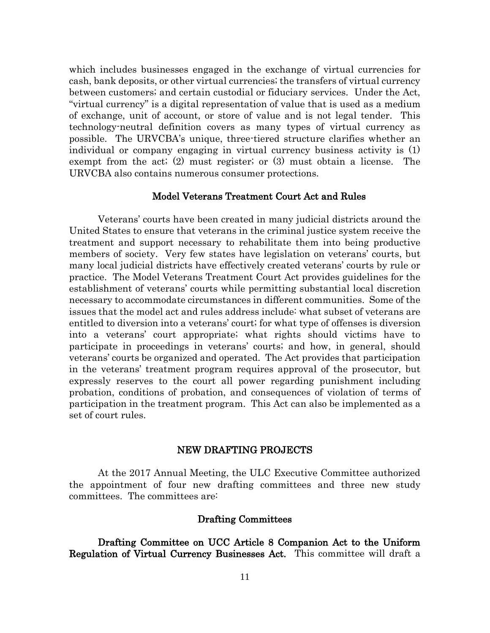which includes businesses engaged in the exchange of virtual currencies for cash, bank deposits, or other virtual currencies; the transfers of virtual currency between customers; and certain custodial or fiduciary services. Under the Act, "virtual currency" is a digital representation of value that is used as a medium of exchange, unit of account, or store of value and is not legal tender. This technology-neutral definition covers as many types of virtual currency as possible. The URVCBA's unique, three-tiered structure clarifies whether an individual or company engaging in virtual currency business activity is (1) exempt from the act; (2) must register; or (3) must obtain a license. The URVCBA also contains numerous consumer protections.

## Model Veterans Treatment Court Act and Rules

Veterans' courts have been created in many judicial districts around the United States to ensure that veterans in the criminal justice system receive the treatment and support necessary to rehabilitate them into being productive members of society. Very few states have legislation on veterans' courts, but many local judicial districts have effectively created veterans' courts by rule or practice. The Model Veterans Treatment Court Act provides guidelines for the establishment of veterans' courts while permitting substantial local discretion necessary to accommodate circumstances in different communities. Some of the issues that the model act and rules address include: what subset of veterans are entitled to diversion into a veterans' court; for what type of offenses is diversion into a veterans' court appropriate; what rights should victims have to participate in proceedings in veterans' courts; and how, in general, should veterans' courts be organized and operated. The Act provides that participation in the veterans' treatment program requires approval of the prosecutor, but expressly reserves to the court all power regarding punishment including probation, conditions of probation, and consequences of violation of terms of participation in the treatment program. This Act can also be implemented as a set of court rules.

#### NEW DRAFTING PROJECTS

At the 2017 Annual Meeting, the ULC Executive Committee authorized the appointment of four new drafting committees and three new study committees. The committees are:

## Drafting Committees

Drafting Committee on UCC Article 8 Companion Act to the Uniform Regulation of Virtual Currency Businesses Act. This committee will draft a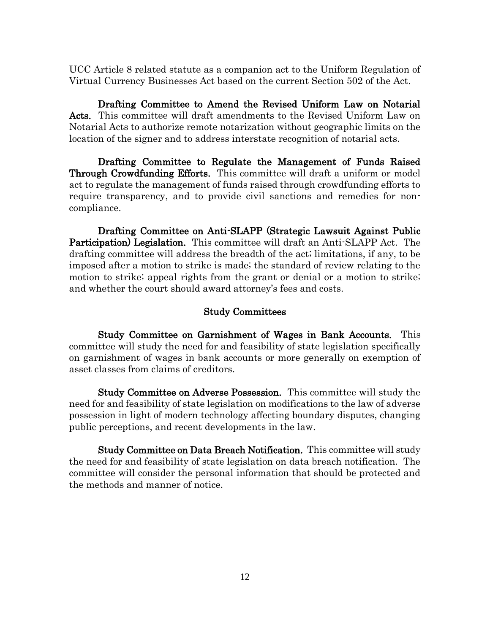UCC Article 8 related statute as a companion act to the Uniform Regulation of Virtual Currency Businesses Act based on the current Section 502 of the Act.

 Drafting Committee to Amend the Revised Uniform Law on Notarial Acts. This committee will draft amendments to the Revised Uniform Law on Notarial Acts to authorize remote notarization without geographic limits on the location of the signer and to address interstate recognition of notarial acts.

 Drafting Committee to Regulate the Management of Funds Raised Through Crowdfunding Efforts. This committee will draft a uniform or model act to regulate the management of funds raised through crowdfunding efforts to require transparency, and to provide civil sanctions and remedies for noncompliance.

 Drafting Committee on Anti-SLAPP (Strategic Lawsuit Against Public Participation) Legislation. This committee will draft an Anti-SLAPP Act. The drafting committee will address the breadth of the act; limitations, if any, to be imposed after a motion to strike is made; the standard of review relating to the motion to strike; appeal rights from the grant or denial or a motion to strike; and whether the court should award attorney's fees and costs.

## Study Committees

 Study Committee on Garnishment of Wages in Bank Accounts. This committee will study the need for and feasibility of state legislation specifically on garnishment of wages in bank accounts or more generally on exemption of asset classes from claims of creditors.

Study Committee on Adverse Possession. This committee will study the need for and feasibility of state legislation on modifications to the law of adverse possession in light of modern technology affecting boundary disputes, changing public perceptions, and recent developments in the law.

Study Committee on Data Breach Notification. This committee will study the need for and feasibility of state legislation on data breach notification. The committee will consider the personal information that should be protected and the methods and manner of notice.